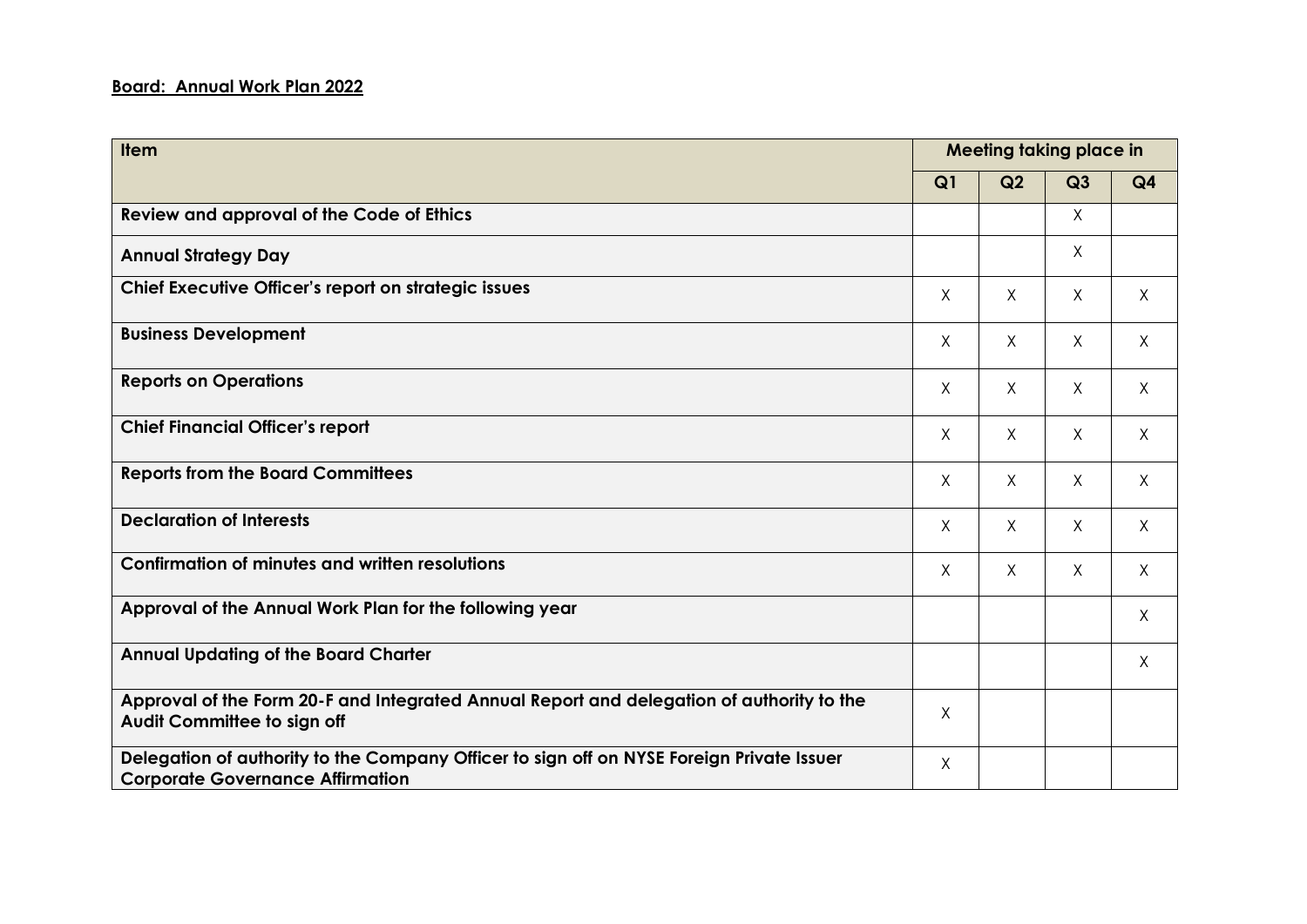## **Board: Annual Work Plan 2022**

| Item                                                                                                                                 | Meeting taking place in |         |         |                |
|--------------------------------------------------------------------------------------------------------------------------------------|-------------------------|---------|---------|----------------|
|                                                                                                                                      | Q1                      | Q2      | Q3      | Q <sub>4</sub> |
| Review and approval of the Code of Ethics                                                                                            |                         |         | $\chi$  |                |
| <b>Annual Strategy Day</b>                                                                                                           |                         |         | X       |                |
| Chief Executive Officer's report on strategic issues                                                                                 | X                       | X       | $\sf X$ | X              |
| <b>Business Development</b>                                                                                                          | $\sf X$                 | X       | X       | X              |
| <b>Reports on Operations</b>                                                                                                         | $\sf X$                 | X       | $\sf X$ | X              |
| <b>Chief Financial Officer's report</b>                                                                                              | X                       | X       | $\sf X$ | $\sf X$        |
| <b>Reports from the Board Committees</b>                                                                                             | $\times$                | X       | $\chi$  | X              |
| <b>Declaration of Interests</b>                                                                                                      | $\sf X$                 | X       | X       | X              |
| <b>Confirmation of minutes and written resolutions</b>                                                                               | $\sf X$                 | $\sf X$ | $\sf X$ | $\sf X$        |
| Approval of the Annual Work Plan for the following year                                                                              |                         |         |         | Χ              |
| <b>Annual Updating of the Board Charter</b>                                                                                          |                         |         |         | X              |
| Approval of the Form 20-F and Integrated Annual Report and delegation of authority to the<br><b>Audit Committee to sign off</b>      | X                       |         |         |                |
| Delegation of authority to the Company Officer to sign off on NYSE Foreign Private Issuer<br><b>Corporate Governance Affirmation</b> | X                       |         |         |                |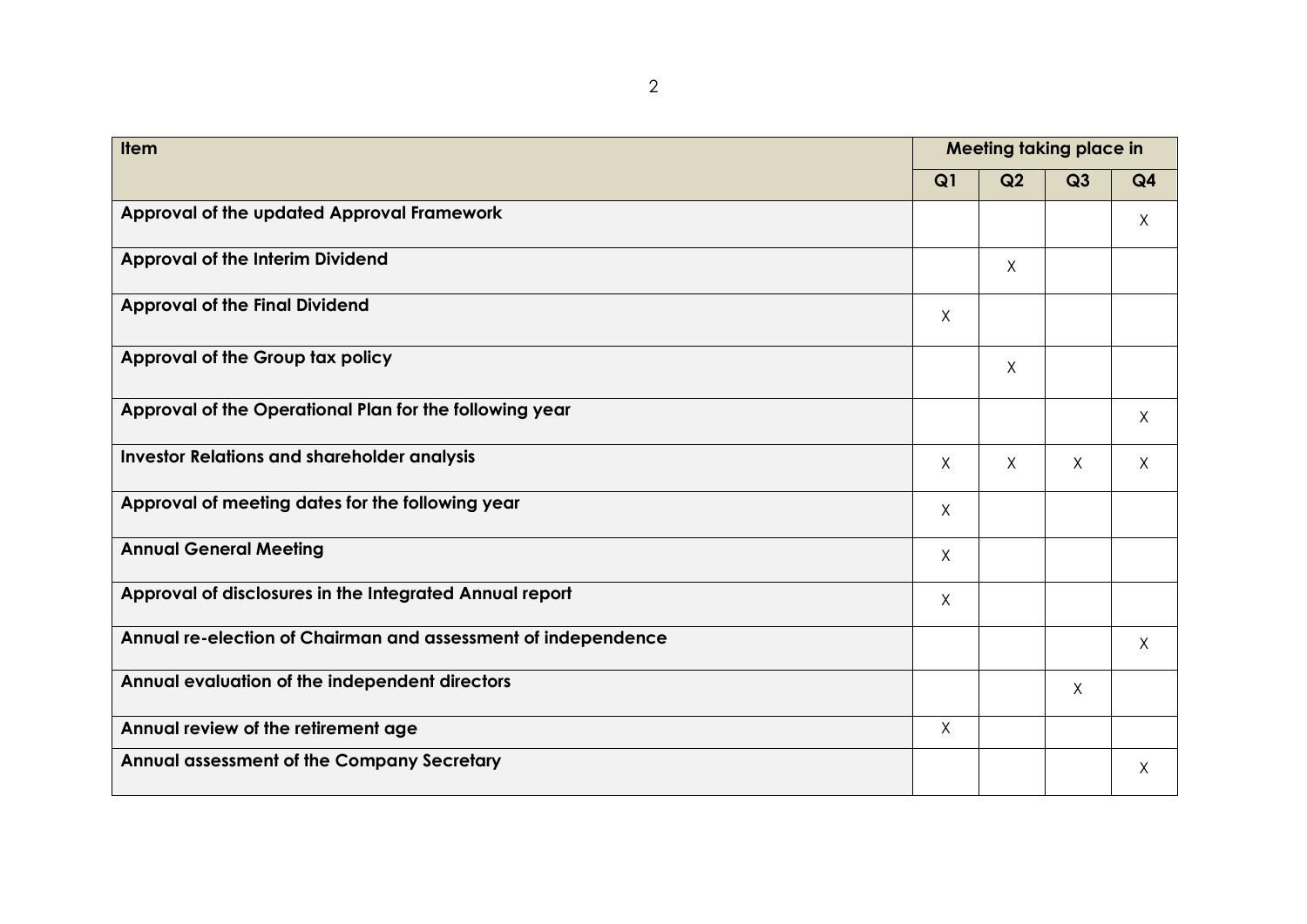| <b>Item</b>                                                   |          |         | <b>Meeting taking place in</b> |                |  |  |
|---------------------------------------------------------------|----------|---------|--------------------------------|----------------|--|--|
|                                                               | Q1       | Q2      | Q3                             | Q <sub>4</sub> |  |  |
| Approval of the updated Approval Framework                    |          |         |                                | $\times$       |  |  |
| <b>Approval of the Interim Dividend</b>                       |          | X       |                                |                |  |  |
| <b>Approval of the Final Dividend</b>                         | X        |         |                                |                |  |  |
| Approval of the Group tax policy                              |          | $\sf X$ |                                |                |  |  |
| Approval of the Operational Plan for the following year       |          |         |                                | $\sf X$        |  |  |
| <b>Investor Relations and shareholder analysis</b>            | X        | X       | X                              | X              |  |  |
| Approval of meeting dates for the following year              | $\times$ |         |                                |                |  |  |
| <b>Annual General Meeting</b>                                 | $\chi$   |         |                                |                |  |  |
| Approval of disclosures in the Integrated Annual report       | $\chi$   |         |                                |                |  |  |
| Annual re-election of Chairman and assessment of independence |          |         |                                | $\sf X$        |  |  |
| Annual evaluation of the independent directors                |          |         | X                              |                |  |  |
| Annual review of the retirement age                           | $\chi$   |         |                                |                |  |  |
| Annual assessment of the Company Secretary                    |          |         |                                | $\sf X$        |  |  |